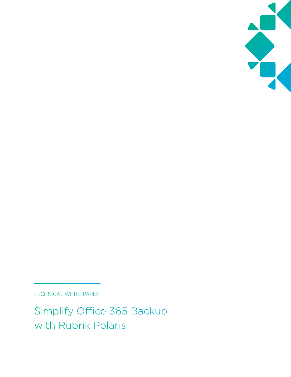

TECHNICAL WHITE PAPER

Simplify Office 365 Backup with Rubrik Polaris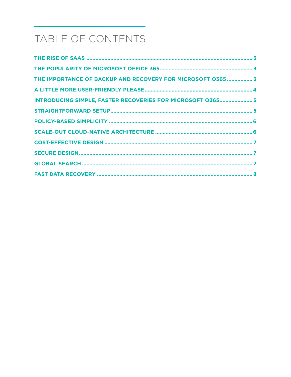# TABLE OF CONTENTS

| THE IMPORTANCE OF BACKUP AND RECOVERY FOR MICROSOFT 0365  3       |  |
|-------------------------------------------------------------------|--|
|                                                                   |  |
| <b>INTRODUCING SIMPLE, FASTER RECOVERIES FOR MICROSOFT 0365 5</b> |  |
|                                                                   |  |
|                                                                   |  |
|                                                                   |  |
|                                                                   |  |
|                                                                   |  |
|                                                                   |  |
|                                                                   |  |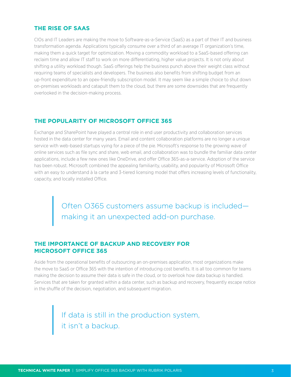### <span id="page-2-0"></span>**THE RISE OF SAAS**

CIOs and IT Leaders are making the move to Software-as-a-Service (SaaS) as a part of their IT and business transformation agenda. Applications typically consume over a third of an average IT organization's time, making them a quick target for optimization. Moving a commodity workload to a SaaS-based offering can reclaim time and allow IT staff to work on more differentiating, higher value projects. It is not only about shifting a utility workload though. SaaS offerings help the business punch above their weight class without requiring teams of specialists and developers. The business also benefits from shifting budget from an up-front expenditure to an opex-friendly subscription model. It may seem like a simple choice to shut down on-premises workloads and catapult them to the cloud, but there are some downsides that are frequently overlooked in the decision-making process.

#### **THE POPULARITY OF MICROSOFT OFFICE 365**

Exchange and SharePoint have played a central role in end user productivity and collaboration services hosted in the data center for many years. Email and content collaboration platforms are no longer a unique service with web-based startups vying for a piece of the pie. Microsoft's response to the growing wave of online services such as file sync and share, web email, and collaboration was to bundle the familiar data center applications, include a few new ones like OneDrive, and offer Office 365-as-a-service. Adoption of the service has been robust. Microsoft combined the appealing familiarity, usability, and popularity of Microsoft Office with an easy to understand à la carte and 3-tiered licensing model that offers increasing levels of functionality, capacity, and locally installed Office.

> Often O365 customers assume backup is included making it an unexpected add-on purchase.

### **THE IMPORTANCE OF BACKUP AND RECOVERY FOR MICROSOFT OFFICE 365**

Aside from the operational benefits of outsourcing an on-premises application, most organizations make the move to SaaS or Office 365 with the intention of introducing cost benefits. It is all too common for teams making the decision to assume their data is safe in the cloud, or to overlook how data backup is handled. Services that are taken for granted within a data center, such as backup and recovery, frequently escape notice in the shuffle of the decision, negotiation, and subsequent migration.

> If data is still in the production system, it isn't a backup.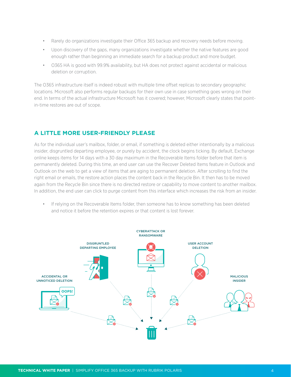- <span id="page-3-0"></span>• Rarely do organizations investigate their Office 365 backup and recovery needs before moving.
- Upon discovery of the gaps, many organizations investigate whether the native features are good enough rather than beginning an immediate search for a backup product and more budget.
- O365 HA is good with 99.9% availability, but HA does not protect against accidental or malicious deletion or corruption.

The O365 infrastructure itself is indeed robust with multiple time offset replicas to secondary geographic locations. Microsoft also performs regular backups for their own use in case something goes wrong on their end. In terms of the actual infrastructure Microsoft has it covered; however, Microsoft clearly states that pointin-time restores are out of scope.

# **A LITTLE MORE USER-FRIENDLY PLEASE**

As for the individual user's mailbox, folder, or email, if something is deleted either intentionally by a malicious insider, disgruntled departing employee, or purely by accident, the clock begins ticking. By default, Exchange online keeps items for 14 days with a 30 day maximum in the Recoverable Items folder before that item is permanently deleted. During this time, an end user can use the Recover Deleted Items feature in Outlook and Outlook on the web to get a view of items that are aging to permanent deletion. After scrolling to find the right email or emails, the restore action places the content back in the Recycle Bin. It then has to be moved again from the Recycle Bin since there is no directed restore or capability to move content to another mailbox. In addition, the end user can click to purge content from this interface which increases the risk from an insider.

• If relying on the Recoverable Items folder, then someone has to know something has been deleted and notice it before the retention expires or that content is lost forever.

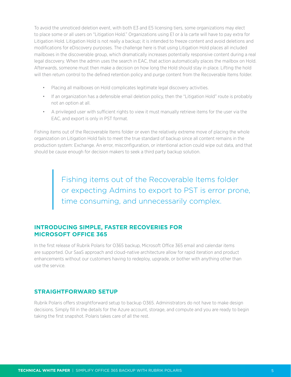<span id="page-4-0"></span>To avoid the unnoticed deletion event, with both E3 and E5 licensing tiers, some organizations may elect to place some or all users on "Litigation Hold." Organizations using E1 or à la carte will have to pay extra for Litigation Hold. Litigation Hold is not really a backup; it is intended to freeze content and avoid deletions and modifications for eDiscovery purposes. The challenge here is that using Litigation Hold places all included mailboxes in the discoverable group, which dramatically increases potentially responsive content during a real legal discovery. When the admin uses the search in EAC, that action automatically places the mailbox on Hold. Afterwards, someone must then make a decision on how long the Hold should stay in place. Lifting the hold will then return control to the defined retention policy and purge content from the Recoverable Items folder.

- Placing all mailboxes on Hold complicates legitimate legal discovery activities.
- If an organization has a defensible email deletion policy, then the "Litigation Hold" route is probably not an option at all.
- A privileged user with sufficient rights to view it must manually retrieve items for the user via the EAC, and export is only in PST format.

Fishing items out of the Recoverable Items folder or even the relatively extreme move of placing the whole organization on Litigation Hold fails to meet the true standard of backup since all content remains in the production system: Exchange. An error, misconfiguration, or intentional action could wipe out data, and that should be cause enough for decision makers to seek a third party backup solution.

> Fishing items out of the Recoverable Items folder or expecting Admins to export to PST is error prone, time consuming, and unnecessarily complex.

# **INTRODUCING SIMPLE, FASTER RECOVERIES FOR MICROSOFT OFFICE 365**

In the first release of Rubrik Polaris for O365 backup, Microsoft Office 365 email and calendar items are supported. Our SaaS approach and cloud-native architecture allow for rapid iteration and product enhancements without our customers having to redeploy, upgrade, or bother with anything other than use the service.

# **STRAIGHTFORWARD SETUP**

Rubrik Polaris offers straightforward setup to backup O365. Administrators do not have to make design decisions. Simply fill in the details for the Azure account, storage, and compute and you are ready to begin taking the first snapshot. Polaris takes care of all the rest.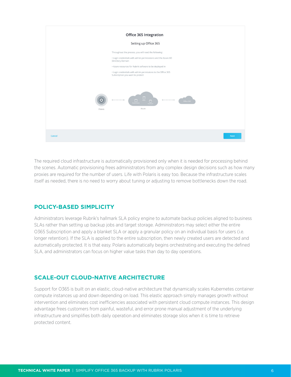<span id="page-5-0"></span>

The required cloud infrastructure is automatically provisioned only when it is needed for processing behind the scenes. Automatic provisioning frees administrators from any complex design decisions such as how many proxies are required for the number of users. Life with Polaris is easy too. Because the infrastructure scales itself as needed, there is no need to worry about tuning or adjusting to remove bottlenecks down the road.

#### **POLICY-BASED SIMPLICITY**

Administrators leverage Rubrik's hallmark SLA policy engine to automate backup policies aligned to business SLAs rather than setting up backup jobs and target storage. Administrators may select either the entire O365 Subscription and apply a blanket SLA or apply a granular policy on an individual basis for users (i.e. longer retention). If the SLA is applied to the entire subscription, then newly created users are detected and automatically protected. It is that easy. Polaris automatically begins orchestrating and executing the defined SLA, and administrators can focus on higher value tasks than day to day operations.

# **SCALE-OUT CLOUD-NATIVE ARCHITECTURE**

Support for O365 is built on an elastic, cloud-native architecture that dynamically scales Kubernetes container compute instances up and down depending on load. This elastic approach simply manages growth without intervention and eliminates cost inefficiencies associated with persistent cloud compute instances. This design advantage frees customers from painful, wasteful, and error prone manual adjustment of the underlying infrastructure and simplifies both daily operation and eliminates storage silos when it is time to retrieve protected content.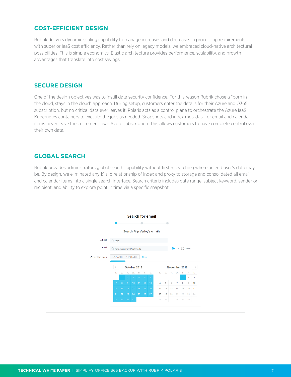### <span id="page-6-0"></span>**COST-EFFICIENT DESIGN**

Rubrik delivers dynamic scaling capability to manage increases and decreases in processing requirements with superior IaaS cost efficiency. Rather than rely on legacy models, we embraced cloud-native architectural possibilities. This is simple economics. Elastic architecture provides performance, scalability, and growth advantages that translate into cost savings.

#### **SECURE DESIGN**

One of the design objectives was to instill data security confidence. For this reason Rubrik chose a "born in the cloud, stays in the cloud" approach. During setup, customers enter the details for their Azure and O365 subscription, but no critical data ever leaves it. Polaris acts as a control plane to orchestrate the Azure IaaS Kubernetes containers to execute the jobs as needed. Snapshots and index metadata for email and calendar items never leave the customer's own Azure subscription. This allows customers to have complete control over their own data.

#### **GLOBAL SEARCH**

Rubrik provides administrators global search capability without first researching where an end user's data may be. By design, we eliminated any 1:1 silo relationship of index and proxy to storage and consolidated all email and calendar items into a single search interface. Search criteria includes date range, subject keyword, sender or recipient, and ability to explore point in time via a specific snapshot.